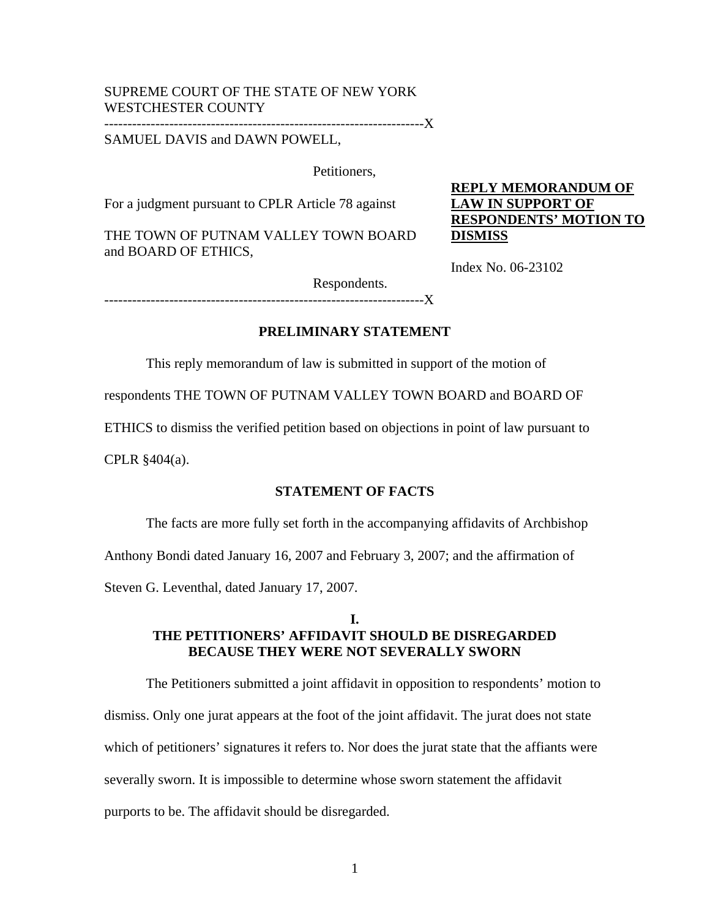# SUPREME COURT OF THE STATE OF NEW YORK WESTCHESTER COUNTY

---------------------------------------------------------------------X

SAMUEL DAVIS and DAWN POWELL,

Petitioners,

For a judgment pursuant to CPLR Article 78 against

THE TOWN OF PUTNAM VALLEY TOWN BOARD and BOARD OF ETHICS,

**REPLY MEMORANDUM OF LAW IN SUPPORT OF RESPONDENTS' MOTION TO DISMISS**

Index No. 06-23102

Respondents.

 $----X$ 

# **PRELIMINARY STATEMENT**

This reply memorandum of law is submitted in support of the motion of

respondents THE TOWN OF PUTNAM VALLEY TOWN BOARD and BOARD OF

ETHICS to dismiss the verified petition based on objections in point of law pursuant to

CPLR §404(a).

### **STATEMENT OF FACTS**

The facts are more fully set forth in the accompanying affidavits of Archbishop

Anthony Bondi dated January 16, 2007 and February 3, 2007; and the affirmation of

Steven G. Leventhal, dated January 17, 2007.

## **I. THE PETITIONERS' AFFIDAVIT SHOULD BE DISREGARDED BECAUSE THEY WERE NOT SEVERALLY SWORN**

The Petitioners submitted a joint affidavit in opposition to respondents' motion to dismiss. Only one jurat appears at the foot of the joint affidavit. The jurat does not state which of petitioners' signatures it refers to. Nor does the jurat state that the affiants were severally sworn. It is impossible to determine whose sworn statement the affidavit purports to be. The affidavit should be disregarded.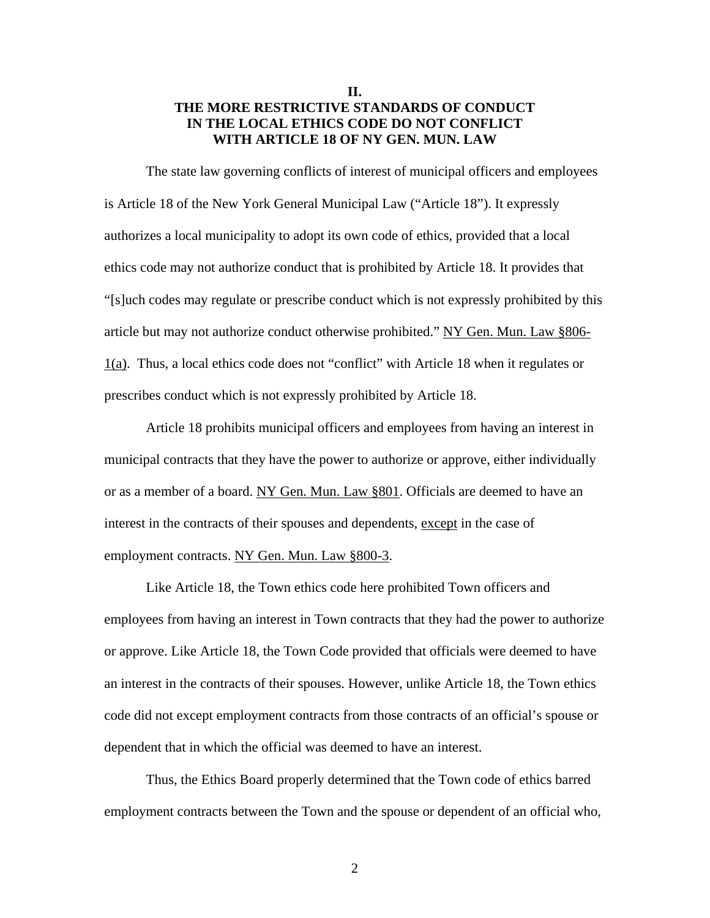## **II. THE MORE RESTRICTIVE STANDARDS OF CONDUCT IN THE LOCAL ETHICS CODE DO NOT CONFLICT WITH ARTICLE 18 OF NY GEN. MUN. LAW**

 The state law governing conflicts of interest of municipal officers and employees is Article 18 of the New York General Municipal Law ("Article 18"). It expressly authorizes a local municipality to adopt its own code of ethics, provided that a local ethics code may not authorize conduct that is prohibited by Article 18. It provides that "[s]uch codes may regulate or prescribe conduct which is not expressly prohibited by this article but may not authorize conduct otherwise prohibited." NY Gen. Mun. Law §806- 1(a). Thus, a local ethics code does not "conflict" with Article 18 when it regulates or prescribes conduct which is not expressly prohibited by Article 18.

 Article 18 prohibits municipal officers and employees from having an interest in municipal contracts that they have the power to authorize or approve, either individually or as a member of a board. NY Gen. Mun. Law §801. Officials are deemed to have an interest in the contracts of their spouses and dependents, except in the case of employment contracts. NY Gen. Mun. Law §800-3.

Like Article 18, the Town ethics code here prohibited Town officers and employees from having an interest in Town contracts that they had the power to authorize or approve. Like Article 18, the Town Code provided that officials were deemed to have an interest in the contracts of their spouses. However, unlike Article 18, the Town ethics code did not except employment contracts from those contracts of an official's spouse or dependent that in which the official was deemed to have an interest.

 Thus, the Ethics Board properly determined that the Town code of ethics barred employment contracts between the Town and the spouse or dependent of an official who,

2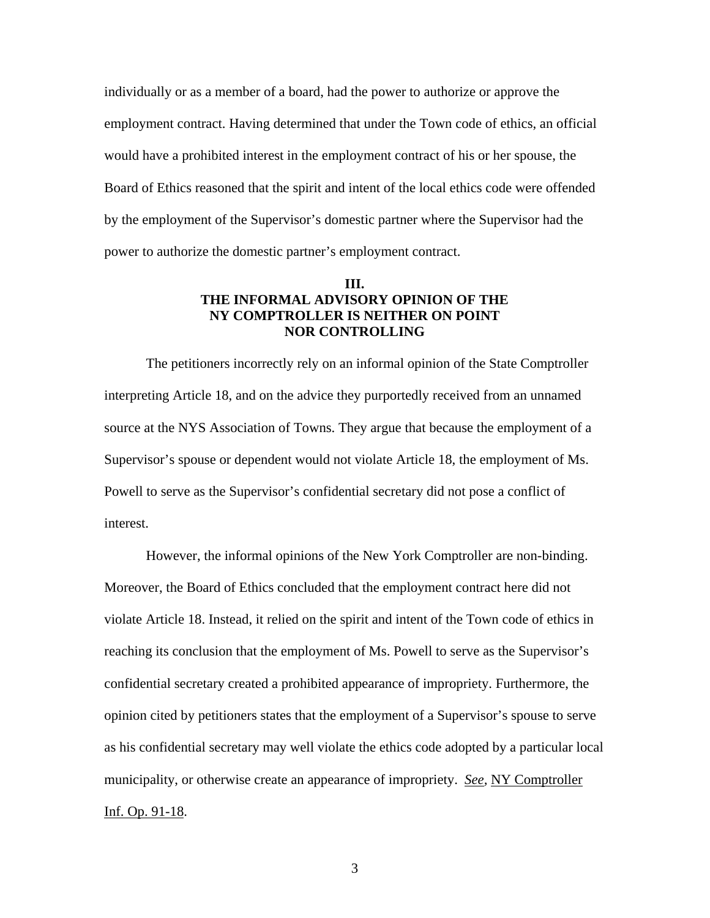individually or as a member of a board, had the power to authorize or approve the employment contract. Having determined that under the Town code of ethics, an official would have a prohibited interest in the employment contract of his or her spouse, the Board of Ethics reasoned that the spirit and intent of the local ethics code were offended by the employment of the Supervisor's domestic partner where the Supervisor had the power to authorize the domestic partner's employment contract.

### **III. THE INFORMAL ADVISORY OPINION OF THE NY COMPTROLLER IS NEITHER ON POINT NOR CONTROLLING**

 The petitioners incorrectly rely on an informal opinion of the State Comptroller interpreting Article 18, and on the advice they purportedly received from an unnamed source at the NYS Association of Towns. They argue that because the employment of a Supervisor's spouse or dependent would not violate Article 18, the employment of Ms. Powell to serve as the Supervisor's confidential secretary did not pose a conflict of interest.

However, the informal opinions of the New York Comptroller are non-binding. Moreover, the Board of Ethics concluded that the employment contract here did not violate Article 18. Instead, it relied on the spirit and intent of the Town code of ethics in reaching its conclusion that the employment of Ms. Powell to serve as the Supervisor's confidential secretary created a prohibited appearance of impropriety. Furthermore, the opinion cited by petitioners states that the employment of a Supervisor's spouse to serve as his confidential secretary may well violate the ethics code adopted by a particular local municipality, or otherwise create an appearance of impropriety. *See,* NY Comptroller Inf. Op. 91-18.

3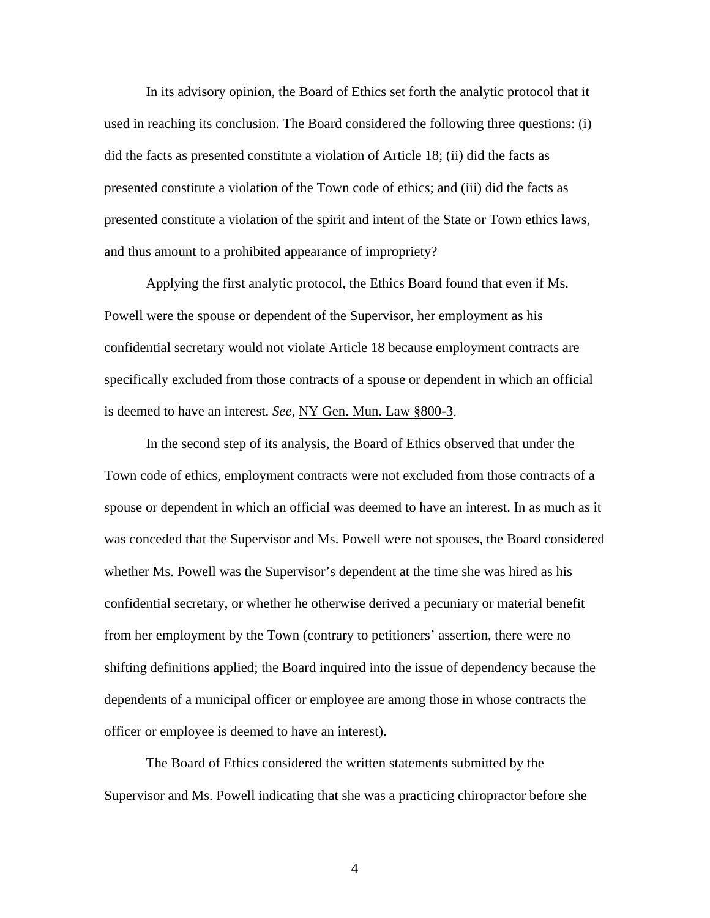In its advisory opinion, the Board of Ethics set forth the analytic protocol that it used in reaching its conclusion. The Board considered the following three questions: (i) did the facts as presented constitute a violation of Article 18; (ii) did the facts as presented constitute a violation of the Town code of ethics; and (iii) did the facts as presented constitute a violation of the spirit and intent of the State or Town ethics laws, and thus amount to a prohibited appearance of impropriety?

 Applying the first analytic protocol, the Ethics Board found that even if Ms. Powell were the spouse or dependent of the Supervisor, her employment as his confidential secretary would not violate Article 18 because employment contracts are specifically excluded from those contracts of a spouse or dependent in which an official is deemed to have an interest. *See,* NY Gen. Mun. Law §800-3.

 In the second step of its analysis, the Board of Ethics observed that under the Town code of ethics, employment contracts were not excluded from those contracts of a spouse or dependent in which an official was deemed to have an interest. In as much as it was conceded that the Supervisor and Ms. Powell were not spouses, the Board considered whether Ms. Powell was the Supervisor's dependent at the time she was hired as his confidential secretary, or whether he otherwise derived a pecuniary or material benefit from her employment by the Town (contrary to petitioners' assertion, there were no shifting definitions applied; the Board inquired into the issue of dependency because the dependents of a municipal officer or employee are among those in whose contracts the officer or employee is deemed to have an interest).

 The Board of Ethics considered the written statements submitted by the Supervisor and Ms. Powell indicating that she was a practicing chiropractor before she

4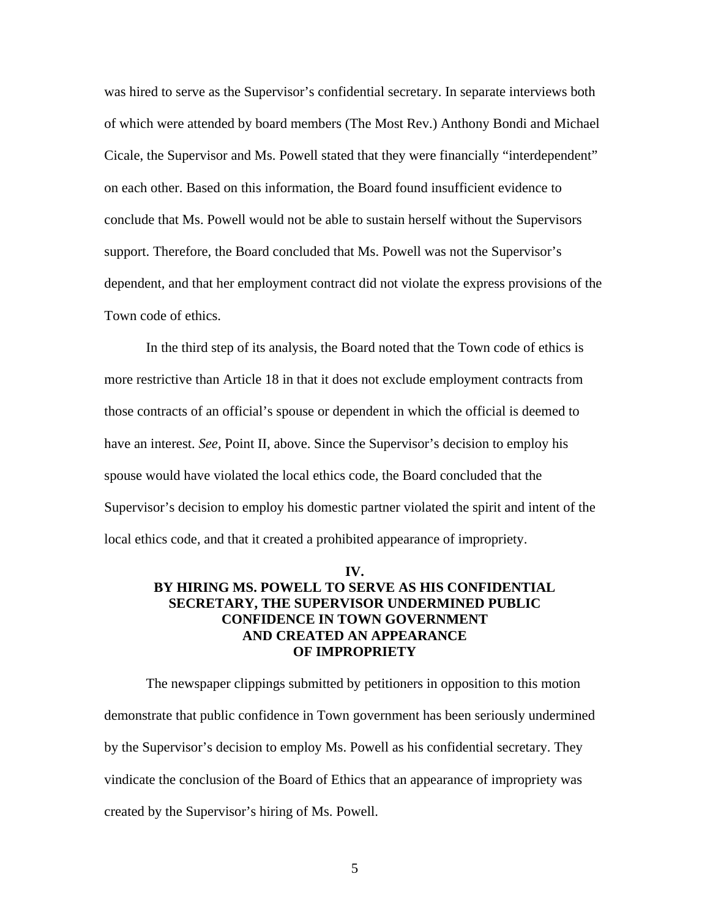was hired to serve as the Supervisor's confidential secretary. In separate interviews both of which were attended by board members (The Most Rev.) Anthony Bondi and Michael Cicale, the Supervisor and Ms. Powell stated that they were financially "interdependent" on each other. Based on this information, the Board found insufficient evidence to conclude that Ms. Powell would not be able to sustain herself without the Supervisors support. Therefore, the Board concluded that Ms. Powell was not the Supervisor's dependent, and that her employment contract did not violate the express provisions of the Town code of ethics.

 In the third step of its analysis, the Board noted that the Town code of ethics is more restrictive than Article 18 in that it does not exclude employment contracts from those contracts of an official's spouse or dependent in which the official is deemed to have an interest. *See,* Point II, above. Since the Supervisor's decision to employ his spouse would have violated the local ethics code, the Board concluded that the Supervisor's decision to employ his domestic partner violated the spirit and intent of the local ethics code, and that it created a prohibited appearance of impropriety.

## **IV. BY HIRING MS. POWELL TO SERVE AS HIS CONFIDENTIAL SECRETARY, THE SUPERVISOR UNDERMINED PUBLIC CONFIDENCE IN TOWN GOVERNMENT AND CREATED AN APPEARANCE OF IMPROPRIETY**

 The newspaper clippings submitted by petitioners in opposition to this motion demonstrate that public confidence in Town government has been seriously undermined by the Supervisor's decision to employ Ms. Powell as his confidential secretary. They vindicate the conclusion of the Board of Ethics that an appearance of impropriety was created by the Supervisor's hiring of Ms. Powell.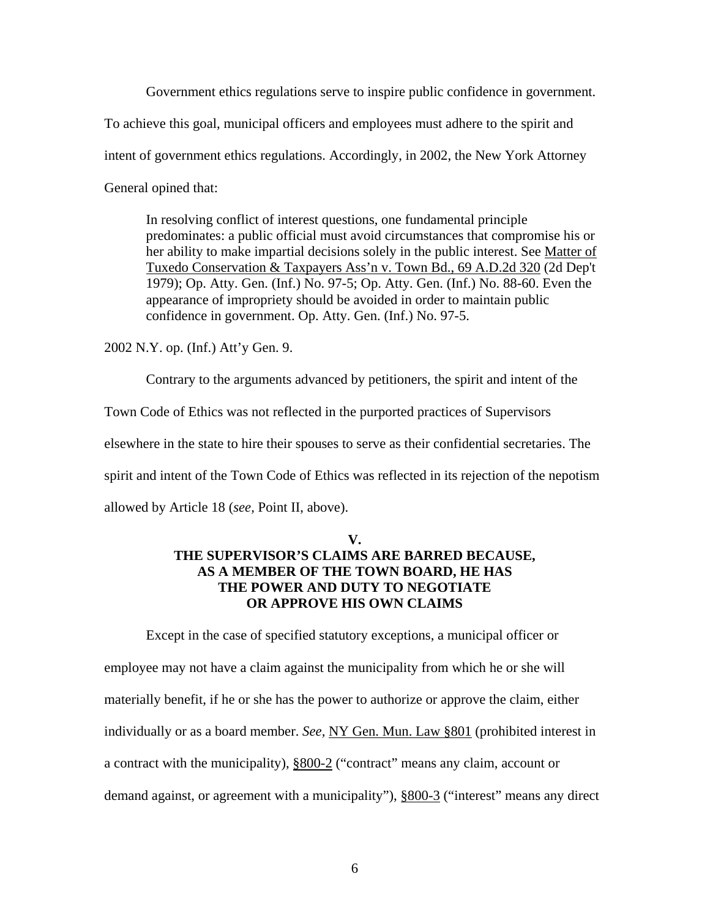Government ethics regulations serve to inspire public confidence in government.

To achieve this goal, municipal officers and employees must adhere to the spirit and

intent of government ethics regulations. Accordingly, in 2002, the New York Attorney

General opined that:

In resolving conflict of interest questions, one fundamental principle predominates: a public official must avoid circumstances that compromise his or her ability to make impartial decisions solely in the public interest. See Matter of Tuxedo Conservation & Taxpayers Ass'n v. Town Bd., 69 A.D.2d 320 (2d Dep't 1979); Op. Atty. Gen. (Inf.) No. 97-5; Op. Atty. Gen. (Inf.) No. 88-60. Even the appearance of impropriety should be avoided in order to maintain public confidence in government. Op. Atty. Gen. (Inf.) No. 97-5.

2002 N.Y. op. (Inf.) Att'y Gen. 9.

 Contrary to the arguments advanced by petitioners, the spirit and intent of the Town Code of Ethics was not reflected in the purported practices of Supervisors elsewhere in the state to hire their spouses to serve as their confidential secretaries. The spirit and intent of the Town Code of Ethics was reflected in its rejection of the nepotism allowed by Article 18 (*see,* Point II, above).

## **V. THE SUPERVISOR'S CLAIMS ARE BARRED BECAUSE, AS A MEMBER OF THE TOWN BOARD, HE HAS THE POWER AND DUTY TO NEGOTIATE OR APPROVE HIS OWN CLAIMS**

 Except in the case of specified statutory exceptions, a municipal officer or employee may not have a claim against the municipality from which he or she will materially benefit, if he or she has the power to authorize or approve the claim, either individually or as a board member. *See,* NY Gen. Mun. Law §801 (prohibited interest in a contract with the municipality), §800-2 ("contract" means any claim, account or demand against, or agreement with a municipality"), §800-3 ("interest" means any direct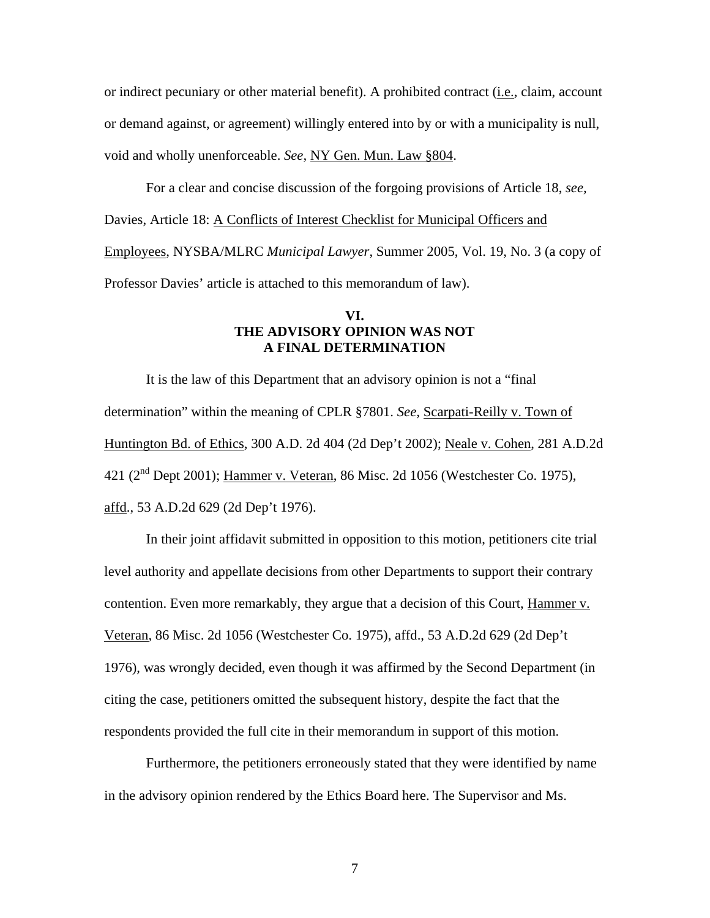or indirect pecuniary or other material benefit). A prohibited contract (i.e., claim, account or demand against, or agreement) willingly entered into by or with a municipality is null, void and wholly unenforceable. *See,* NY Gen. Mun. Law §804.

 For a clear and concise discussion of the forgoing provisions of Article 18, *see,*  Davies, Article 18: A Conflicts of Interest Checklist for Municipal Officers and Employees, NYSBA/MLRC *Municipal Lawyer*, Summer 2005, Vol. 19, No. 3 (a copy of Professor Davies' article is attached to this memorandum of law).

### **VI. THE ADVISORY OPINION WAS NOT A FINAL DETERMINATION**

It is the law of this Department that an advisory opinion is not a "final determination" within the meaning of CPLR §7801. *See,* Scarpati-Reilly v. Town of Huntington Bd. of Ethics, 300 A.D. 2d 404 (2d Dep't 2002); Neale v. Cohen, 281 A.D.2d 421 (2<sup>nd</sup> Dept 2001); Hammer v. Veteran, 86 Misc. 2d 1056 (Westchester Co. 1975), affd., 53 A.D.2d 629 (2d Dep't 1976).

In their joint affidavit submitted in opposition to this motion, petitioners cite trial level authority and appellate decisions from other Departments to support their contrary contention. Even more remarkably, they argue that a decision of this Court, Hammer v. Veteran, 86 Misc. 2d 1056 (Westchester Co. 1975), affd., 53 A.D.2d 629 (2d Dep't 1976), was wrongly decided, even though it was affirmed by the Second Department (in citing the case, petitioners omitted the subsequent history, despite the fact that the respondents provided the full cite in their memorandum in support of this motion.

Furthermore, the petitioners erroneously stated that they were identified by name in the advisory opinion rendered by the Ethics Board here. The Supervisor and Ms.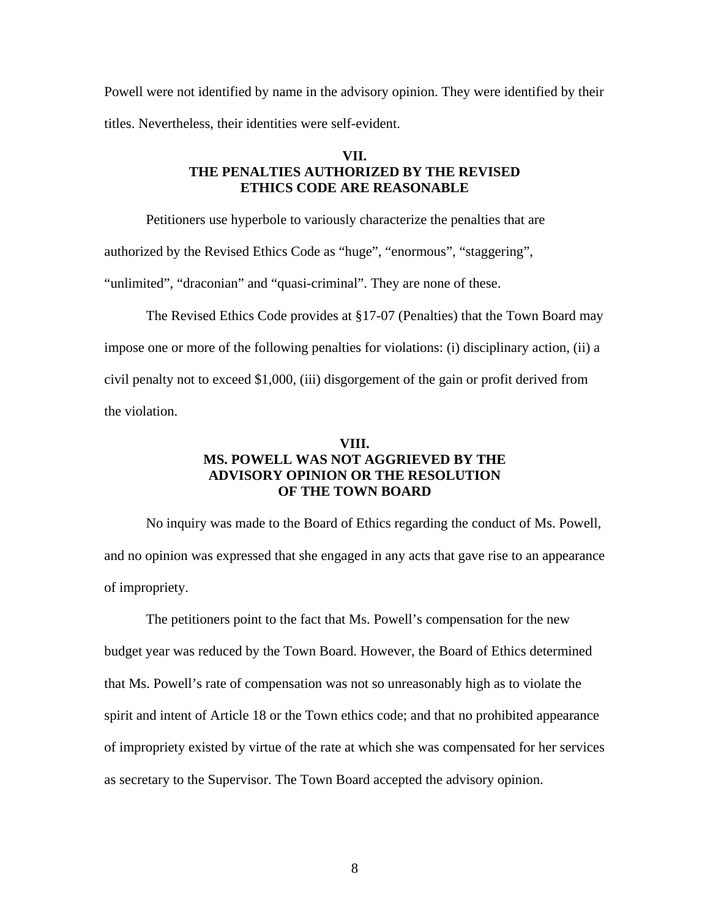Powell were not identified by name in the advisory opinion. They were identified by their titles. Nevertheless, their identities were self-evident.

## **VII. THE PENALTIES AUTHORIZED BY THE REVISED ETHICS CODE ARE REASONABLE**

Petitioners use hyperbole to variously characterize the penalties that are

authorized by the Revised Ethics Code as "huge", "enormous", "staggering",

"unlimited", "draconian" and "quasi-criminal". They are none of these.

 The Revised Ethics Code provides at §17-07 (Penalties) that the Town Board may impose one or more of the following penalties for violations: (i) disciplinary action, (ii) a civil penalty not to exceed \$1,000, (iii) disgorgement of the gain or profit derived from the violation.

### **VIII. MS. POWELL WAS NOT AGGRIEVED BY THE ADVISORY OPINION OR THE RESOLUTION OF THE TOWN BOARD**

No inquiry was made to the Board of Ethics regarding the conduct of Ms. Powell, and no opinion was expressed that she engaged in any acts that gave rise to an appearance of impropriety.

The petitioners point to the fact that Ms. Powell's compensation for the new budget year was reduced by the Town Board. However, the Board of Ethics determined that Ms. Powell's rate of compensation was not so unreasonably high as to violate the spirit and intent of Article 18 or the Town ethics code; and that no prohibited appearance of impropriety existed by virtue of the rate at which she was compensated for her services as secretary to the Supervisor. The Town Board accepted the advisory opinion.